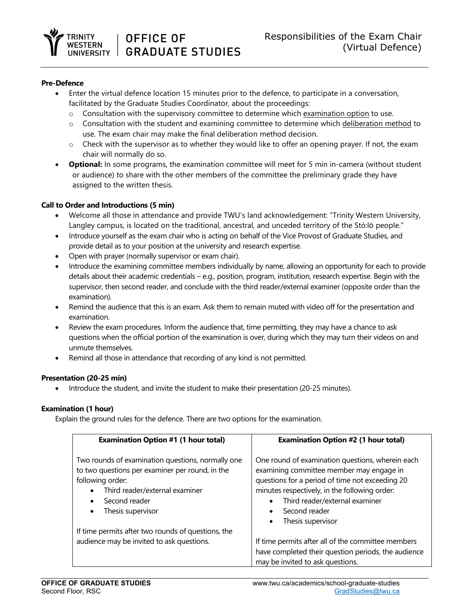

#### **Pre-Defence**

- Enter the virtual defence location 15 minutes prior to the defence, to participate in a conversation, facilitated by the Graduate Studies Coordinator, about the proceedings:
	- o Consultation with the supervisory committee to determine which examination option to use.
	- $\circ$  Consultation with the student and examining committee to determine which deliberation method to use. The exam chair may make the final deliberation method decision.
	- $\circ$  Check with the supervisor as to whether they would like to offer an opening prayer. If not, the exam chair will normally do so.
- **Optional:** In some programs, the examination committee will meet for 5 min in-camera (without student or audience) to share with the other members of the committee the preliminary grade they have assigned to the written thesis.

## **Call to Order and Introductions (5 min)**

- Welcome all those in attendance and provide TWU's land acknowledgement: "Trinity Western University, Langley campus, is located on the traditional, ancestral, and unceded territory of the Stó:lō people."
- Introduce yourself as the exam chair who is acting on behalf of the Vice Provost of Graduate Studies, and provide detail as to your position at the university and research expertise.
- Open with prayer (normally supervisor or exam chair).
- Introduce the examining committee members individually by name, allowing an opportunity for each to provide details about their academic credentials – e.g., position, program, institution, research expertise. Begin with the supervisor, then second reader, and conclude with the third reader/external examiner (opposite order than the examination).
- Remind the audience that this is an exam. Ask them to remain muted with video off for the presentation and examination.
- Review the exam procedures. Inform the audience that, time permitting, they may have a chance to ask questions when the official portion of the examination is over, during which they may turn their videos on and unmute themselves.
- Remind all those in attendance that recording of any kind is not permitted.

## **Presentation (20-25 min)**

• Introduce the student, and invite the student to make their presentation (20-25 minutes).

## **Examination (1 hour)**

Explain the ground rules for the defence. There are two options for the examination.

| <b>Examination Option #1 (1 hour total)</b>                                                                                                                                                                                     | <b>Examination Option #2 (1 hour total)</b>                                                                                                                                                                                                                                           |
|---------------------------------------------------------------------------------------------------------------------------------------------------------------------------------------------------------------------------------|---------------------------------------------------------------------------------------------------------------------------------------------------------------------------------------------------------------------------------------------------------------------------------------|
| Two rounds of examination questions, normally one<br>to two questions per examiner per round, in the<br>following order:<br>Third reader/external examiner<br>$\bullet$<br>Second reader<br>٠<br>Thesis supervisor<br>$\bullet$ | One round of examination questions, wherein each<br>examining committee member may engage in<br>questions for a period of time not exceeding 20<br>minutes respectively, in the following order:<br>Third reader/external examiner<br>Second reader<br>Thesis supervisor<br>$\bullet$ |
| If time permits after two rounds of questions, the<br>audience may be invited to ask questions.                                                                                                                                 | If time permits after all of the committee members                                                                                                                                                                                                                                    |
|                                                                                                                                                                                                                                 | have completed their question periods, the audience<br>may be invited to ask questions.                                                                                                                                                                                               |